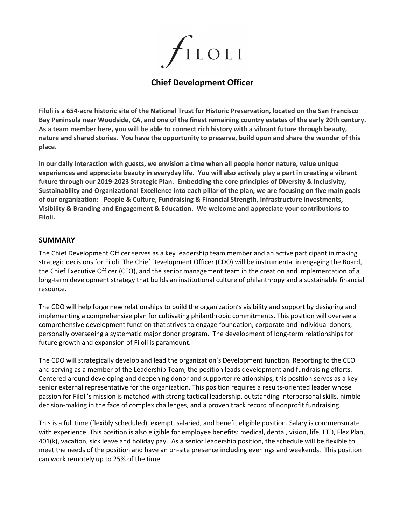

# **Chief Development Officer**

Filoli is a 654-acre historic site of the National Trust for Historic Preservation, located on the San Francisco Bay Peninsula near Woodside, CA, and one of the finest remaining country estates of the early 20th century. As a team member here, you will be able to connect rich history with a vibrant future through beauty, nature and shared stories. You have the opportunity to preserve, build upon and share the wonder of this **place.**

**In our daily interaction with guests, we envision a time when all people honor nature, value unique** experiences and appreciate beauty in everyday life. You will also actively play a part in creating a vibrant **future through our 2019-2023 Strategic Plan. Embedding the core principles of Diversity & Inclusivity,** Sustainability and Organizational Excellence into each pillar of the plan, we are focusing on five main goals **of our organization: People & Culture, Fundraising & Financial Strength, Infrastructure Investments, Visibility & Branding and Engagement & Education. We welcome and appreciate your contributions to Filoli.**

### **SUMMARY**

The Chief Development Officer serves as a key leadership team member and an active participant in making strategic decisions for Filoli. The Chief Development Officer (CDO) will be instrumental in engaging the Board, the Chief Executive Officer (CEO), and the senior management team in the creation and implementation of a long-term development strategy that builds an institutional culture of philanthropy and a sustainable financial resource.

The CDO will help forge new relationships to build the organization's visibility and support by designing and implementing a comprehensive plan for cultivating philanthropic commitments. This position will oversee a comprehensive development function that strives to engage foundation, corporate and individual donors, personally overseeing a systematic major donor program. The development of long-term relationships for future growth and expansion of Filoli is paramount.

The CDO will strategically develop and lead the organization's Development function. Reporting to the CEO and serving as a member of the Leadership Team, the position leads development and fundraising efforts. Centered around developing and deepening donor and supporter relationships, this position serves as a key senior external representative for the organization. This position requires a results-oriented leader whose passion for Filoli's mission is matched with strong tactical leadership, outstanding interpersonal skills, nimble decision-making in the face of complex challenges, and a proven track record of nonprofit fundraising.

This is a full time (flexibly scheduled), exempt, salaried, and benefit eligible position. Salary is commensurate with experience. This position is also eligible for employee benefits: medical, dental, vision, life, LTD, Flex Plan, 401(k), vacation, sick leave and holiday pay. As a senior leadership position, the schedule will be flexible to meet the needs of the position and have an on-site presence including evenings and weekends. This position can work remotely up to 25% of the time.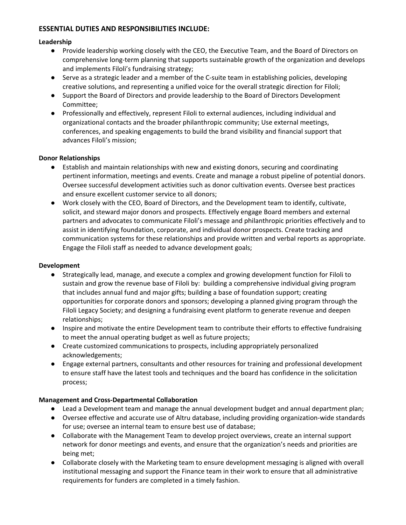## **ESSENTIAL DUTIES AND RESPONSIBILITIES INCLUDE:**

### **Leadership**

- Provide leadership working closely with the CEO, the Executive Team, and the Board of Directors on comprehensive long-term planning that supports sustainable growth of the organization and develops and implements Filoli's fundraising strategy;
- Serve as a strategic leader and a member of the C-suite team in establishing policies, developing creative solutions, and representing a unified voice for the overall strategic direction for Filoli;
- Support the Board of Directors and provide leadership to the Board of Directors Development Committee;
- Professionally and effectively, represent Filoli to external audiences, including individual and organizational contacts and the broader philanthropic community; Use external meetings, conferences, and speaking engagements to build the brand visibility and financial support that advances Filoli's mission;

### **Donor Relationships**

- Establish and maintain relationships with new and existing donors, securing and coordinating pertinent information, meetings and events. Create and manage a robust pipeline of potential donors. Oversee successful development activities such as donor cultivation events. Oversee best practices and ensure excellent customer service to all donors;
- Work closely with the CEO, Board of Directors, and the Development team to identify, cultivate, solicit, and steward major donors and prospects. Effectively engage Board members and external partners and advocates to communicate Filoli's message and philanthropic priorities effectively and to assist in identifying foundation, corporate, and individual donor prospects. Create tracking and communication systems for these relationships and provide written and verbal reports as appropriate. Engage the Filoli staff as needed to advance development goals;

### **Development**

- Strategically lead, manage, and execute a complex and growing development function for Filoli to sustain and grow the revenue base of Filoli by: building a comprehensive individual giving program that includes annual fund and major gifts; building a base of foundation support; creating opportunities for corporate donors and sponsors; developing a planned giving program through the Filoli Legacy Society; and designing a fundraising event platform to generate revenue and deepen relationships;
- Inspire and motivate the entire Development team to contribute their efforts to effective fundraising to meet the annual operating budget as well as future projects;
- Create customized communications to prospects, including appropriately personalized acknowledgements;
- Engage external partners, consultants and other resources for training and professional development to ensure staff have the latest tools and techniques and the board has confidence in the solicitation process;

### **Management and Cross-Departmental Collaboration**

- Lead a Development team and manage the annual development budget and annual department plan;
- Oversee effective and accurate use of Altru database, including providing organization-wide standards for use; oversee an internal team to ensure best use of database;
- Collaborate with the Management Team to develop project overviews, create an internal support network for donor meetings and events, and ensure that the organization's needs and priorities are being met;
- Collaborate closely with the Marketing team to ensure development messaging is aligned with overall institutional messaging and support the Finance team in their work to ensure that all administrative requirements for funders are completed in a timely fashion.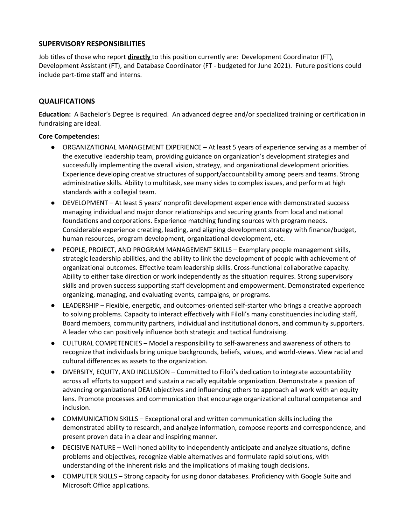### **SUPERVISORY RESPONSIBILITIES**

Job titles of those who report **directly** to this position currently are: Development Coordinator (FT), Development Assistant (FT), and Database Coordinator (FT - budgeted for June 2021). Future positions could include part-time staff and interns.

## **QUALIFICATIONS**

**Education:** A Bachelor's Degree is required. An advanced degree and/or specialized training or certification in fundraising are ideal.

### **Core Competencies:**

- ORGANIZATIONAL MANAGEMENT EXPERIENCE At least 5 years of experience serving as a member of the executive leadership team, providing guidance on organization's development strategies and successfully implementing the overall vision, strategy, and organizational development priorities. Experience developing creative structures of support/accountability among peers and teams. Strong administrative skills. Ability to multitask, see many sides to complex issues, and perform at high standards with a collegial team.
- DEVELOPMENT At least 5 years' nonprofit development experience with demonstrated success managing individual and major donor relationships and securing grants from local and national foundations and corporations. Experience matching funding sources with program needs. Considerable experience creating, leading, and aligning development strategy with finance/budget, human resources, program development, organizational development, etc.
- PEOPLE, PROJECT, AND PROGRAM MANAGEMENT SKILLS Exemplary people management skills, strategic leadership abilities, and the ability to link the development of people with achievement of organizational outcomes. Effective team leadership skills. Cross-functional collaborative capacity. Ability to either take direction or work independently as the situation requires. Strong supervisory skills and proven success supporting staff development and empowerment. Demonstrated experience organizing, managing, and evaluating events, campaigns, or programs.
- LEADERSHIP Flexible, energetic, and outcomes-oriented self-starter who brings a creative approach to solving problems. Capacity to interact effectively with Filoli's many constituencies including staff, Board members, community partners, individual and institutional donors, and community supporters. A leader who can positively influence both strategic and tactical fundraising.
- CULTURAL COMPETENCIES Model a responsibility to self-awareness and awareness of others to recognize that individuals bring unique backgrounds, beliefs, values, and world-views. View racial and cultural differences as assets to the organization.
- DIVERSITY, EQUITY, AND INCLUSION Committed to Filoli's dedication to integrate accountability across all efforts to support and sustain a racially equitable organization. Demonstrate a passion of advancing organizational DEAI objectives and influencing others to approach all work with an equity lens. Promote processes and communication that encourage organizational cultural competence and inclusion.
- COMMUNICATION SKILLS Exceptional oral and written communication skills including the demonstrated ability to research, and analyze information, compose reports and correspondence, and present proven data in a clear and inspiring manner.
- DECISIVE NATURE Well-honed ability to independently anticipate and analyze situations, define problems and objectives, recognize viable alternatives and formulate rapid solutions, with understanding of the inherent risks and the implications of making tough decisions.
- COMPUTER SKILLS Strong capacity for using donor databases. Proficiency with Google Suite and Microsoft Office applications.